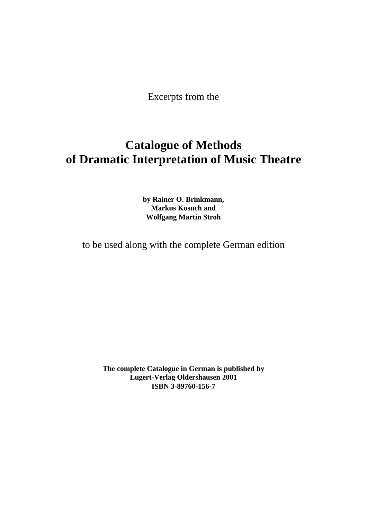Excerpts from the

# **Catalogue of Methods of Dramatic Interpretation of Music Theatre**

**by Rainer O. Brinkmann, Markus Kosuch and Wolfgang Martin Stroh**

to be used along with the complete German edition

**The complete Catalogue in German is published by Lugert-Verlag Oldershausen 2001 ISBN 3-89760-156-7**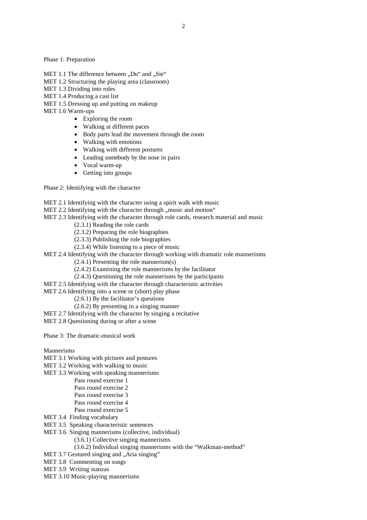Phase 1: Preparation

- MET 1.1 The difference between "Du" and "Sie"
- MET 1.2 Structuring the playing area (classroom)
- MET 1.3 Dividing into roles
- MET 1.4 Producing a cast list
- MET 1.5 Dressing up and putting on makeup
- MET 1.6 Warm-ups
	- Exploring the room
	- Walking at different paces
	- Body parts lead the movement through the room
	- Walking with emotions
	- Walking with different postures
	- Leading somebody by the nose in pairs
	- Vocal warm-up
	- Getting into groups

Phase 2: Identifying with the character

- MET 2.1 Identifying with the character using a spirit walk with music
- MET 2.2 Identifying with the character through  $\mu$  music and motion.
- MET 2.3 Identifying with the character through role cards, research material and music
	- (2.3.1) Reading the role cards
	- (2.3.2) Preparing the role biographies
	- (2.3.3) Publishing the role biographies
	- (2.3.4) While listening to a piece of music
- MET 2.4 Identifying with the character through working with dramatic role mannerisms
	- (2.4.1) Presenting the role mannerism(s)
	- (2.4.2) Examining the role mannerisms by the facilitator
	- (2.4.3) Questioning the role mannerisms by the participants
- MET 2.5 Identifying with the character through characteristic activities
- MET 2.6 Identifying into a scene or (short) play phase
	- (2.6.1) By the facilitator's questions
	- (2.6.2) By presenting in a singing manner
- MET 2.7 Identifying with the character by singing a recitative
- MET 2.8 Questioning during or after a scene

Phase 3: The dramatic-musical work

Mannerisms

- MET 3.1 Working with pictures and postures
- MET 3.2 Working with walking to music
- MET 3.3 Working with speaking mannerisms
	- Pass round exercise 1
		- Pass round exercise 2
		- Pass round exercise 3
		- Pass round exercise 4
	- Pass round exercise 5
- MET 3.4 Finding vocabulary
- MET 3.5 Speaking characteristic sentences
- MET 3.6 Singing mannerisms (collective, individual)
	- (3.6.1) Collective singing mannerisms
	- (3.6.2) Individual singing mannerisms with the "Walkman-method"
- MET 3.7 Gestured singing and "Aria singing"
- MET 3.8 Commenting on songs
- MET 3.9 Writing stanzas
- MET 3.10 Music-playing mannerisms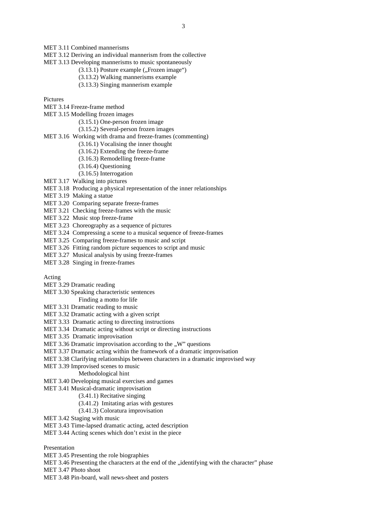- MET 3.12 Deriving an individual mannerism from the collective
- MET 3.13 Developing mannerisms to music spontaneously
	- $(3.13.1)$  Posture example  $($ "Frozen image" $)$
	- (3.13.2) Walking mannerisms example
	- (3.13.3) Singing mannerism example

Pictures

- MET 3.14 Freeze-frame method
- MET 3.15 Modelling frozen images
	- (3.15.1) One-person frozen image
	- (3.15.2) Several-person frozen images
- MET 3.16 Working with drama and freeze-frames (commenting)
	- (3.16.1) Vocalising the inner thought
	- (3.16.2) Extending the freeze-frame
	- (3.16.3) Remodelling freeze-frame
	- (3.16.4) Questioning
	- (3.16.5) Interrogation
- MET 3.17 Walking into pictures
- MET 3.18 Producing a physical representation of the inner relationships
- MET 3.19 Making a statue
- MET 3.20 Comparing separate freeze-frames
- MET 3.21 Checking freeze-frames with the music
- MET 3.22 Music stop freeze-frame
- MET 3.23 Choreography as a sequence of pictures
- MET 3.24 Compressing a scene to a musical sequence of freeze-frames
- MET 3.25 Comparing freeze-frames to music and script
- MET 3.26 Fitting random picture sequences to script and music
- MET 3.27 Musical analysis by using freeze-frames
- MET 3.28 Singing in freeze-frames

Acting

- MET 3.29 Dramatic reading
- MET 3.30 Speaking characteristic sentences

Finding a motto for life

- MET 3.31 Dramatic reading to music
- MET 3.32 Dramatic acting with a given script
- MET 3.33 Dramatic acting to directing instructions
- MET 3.34 Dramatic acting without script or directing instructions
- MET 3.35 Dramatic improvisation
- MET 3.36 Dramatic improvisation according to the  $\mu$ W" questions
- MET 3.37 Dramatic acting within the framework of a dramatic improvisation
- MET 3.38 Clarifying relationships between characters in a dramatic improvised way
- MET 3.39 Improvised scenes to music
	- Methodological hint
- MET 3.40 Developing musical exercises and games
- MET 3.41 Musical-dramatic improvisation
	- (3.41.1) Recitative singing
	- (3.41.2) Imitating arias with gestures
	- (3.41.3) Coloratura improvisation
- MET 3.42 Staging with music
- MET 3.43 Time-lapsed dramatic acting, acted description
- MET 3.44 Acting scenes which don't exist in the piece

Presentation

- MET 3.45 Presenting the role biographies
- MET 3.46 Presenting the characters at the end of the "identifying with the character" phase
- MET 3.47 Photo shoot
- MET 3.48 Pin-board, wall news-sheet and posters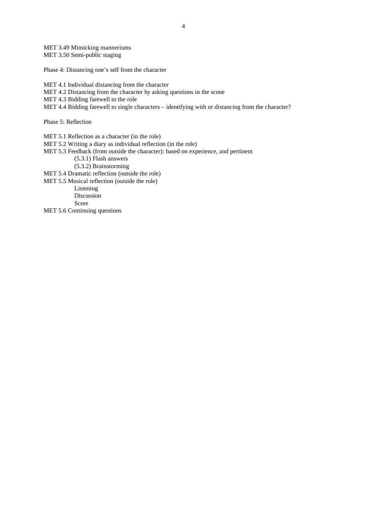MET 3.49 Mimicking mannerisms MET 3.50 Semi-public staging

Phase 4: Distancing one's self from the character

MET 4.1 Individual distancing from the character

MET 4.2 Distancing from the character by asking questions in the scene

MET 4.3 Bidding farewell to the role

MET 4.4 Bidding farewell to single characters – identifying with or distancing from the character?

Phase 5: Reflection

MET 5.1 Reflection as a character (in the role)

MET 5.2 Writing a diary as individual reflection (in the role)

MET 5.3 Feedback (from outside the character): based on experience, and pertinent

(5.3.1) Flash answers

(5.3.2) Brainstorming

MET 5.4 Dramatic reflection (outside the role)

MET 5.5 Musical reflection (outside the role)

Listening Discussion

Score

MET 5.6 Continuing questions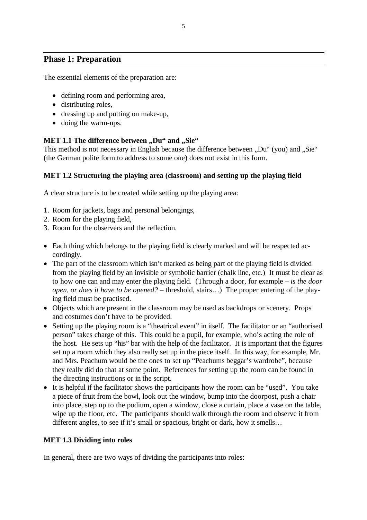# **Phase 1: Preparation**

The essential elements of the preparation are:

- defining room and performing area,
- distributing roles,
- dressing up and putting on make-up,
- doing the warm-ups.

#### MET 1.1 The difference between ,,Du" and ,,Sie"

This method is not necessary in English because the difference between . Du " (you) and . Sie" (the German polite form to address to some one) does not exist in this form.

## **MET 1.2 Structuring the playing area (classroom) and setting up the playing field**

A clear structure is to be created while setting up the playing area:

- 1. Room for jackets, bags and personal belongings,
- 2. Room for the playing field,
- 3. Room for the observers and the reflection.
- Each thing which belongs to the playing field is clearly marked and will be respected accordingly.
- The part of the classroom which isn't marked as being part of the playing field is divided from the playing field by an invisible or symbolic barrier (chalk line, etc.) It must be clear as to how one can and may enter the playing field. (Through a door, for example – *is the door open, or does it have to be opened?* – threshold, stairs…) The proper entering of the playing field must be practised.
- Objects which are present in the classroom may be used as backdrops or scenery. Props and costumes don't have to be provided.
- Setting up the playing room is a "theatrical event" in itself. The facilitator or an "authorised person" takes charge of this. This could be a pupil, for example, who's acting the role of the host. He sets up "his" bar with the help of the facilitator. It is important that the figures set up a room which they also really set up in the piece itself. In this way, for example, Mr. and Mrs. Peachum would be the ones to set up "Peachums beggar's wardrobe", because they really did do that at some point. References for setting up the room can be found in the directing instructions or in the script.
- It is helpful if the facilitator shows the participants how the room can be "used". You take a piece of fruit from the bowl, look out the window, bump into the doorpost, push a chair into place, step up to the podium, open a window, close a curtain, place a vase on the table, wipe up the floor, etc. The participants should walk through the room and observe it from different angles, to see if it's small or spacious, bright or dark, how it smells…

## **MET 1.3 Dividing into roles**

In general, there are two ways of dividing the participants into roles: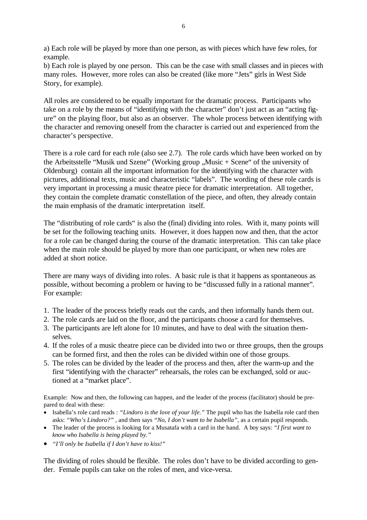a) Each role will be played by more than one person, as with pieces which have few roles, for example.

b) Each role is played by one person. This can be the case with small classes and in pieces with many roles. However, more roles can also be created (like more "Jets" girls in West Side Story, for example).

All roles are considered to be equally important for the dramatic process. Participants who take on a role by the means of "identifying with the character" don't just act as an "acting figure" on the playing floor, but also as an observer. The whole process between identifying with the character and removing oneself from the character is carried out and experienced from the character's perspective.

There is a role card for each role (also see 2.7). The role cards which have been worked on by the Arbeitsstelle "Musik und Szene" (Working group  $M$ usic + Scene" of the university of Oldenburg) contain all the important information for the identifying with the character with pictures, additional texts, music and characteristic "labels". The wording of these role cards is very important in processing a music theatre piece for dramatic interpretation. All together, they contain the complete dramatic constellation of the piece, and often, they already contain the main emphasis of the dramatic interpretation itself.

The "distributing of role cards" is also the (final) dividing into roles. With it, many points will be set for the following teaching units. However, it does happen now and then, that the actor for a role can be changed during the course of the dramatic interpretation. This can take place when the main role should be played by more than one participant, or when new roles are added at short notice.

There are many ways of dividing into roles. A basic rule is that it happens as spontaneous as possible, without becoming a problem or having to be "discussed fully in a rational manner". For example:

- 1. The leader of the process briefly reads out the cards, and then informally hands them out.
- 2. The role cards are laid on the floor, and the participants choose a card for themselves.
- 3. The participants are left alone for 10 minutes, and have to deal with the situation themselves.
- 4. If the roles of a music theatre piece can be divided into two or three groups, then the groups can be formed first, and then the roles can be divided within one of those groups.
- 5. The roles can be divided by the leader of the process and then, after the warm-up and the first "identifying with the character" rehearsals, the roles can be exchanged, sold or auctioned at a "market place".

Example: Now and then, the following can happen, and the leader of the process (facilitator) should be prepared to deal with these:

- Isabella's role card reads : *"Lindoro is the love of your life."* The pupil who has the Isabella role card then asks: *"Who's Lindoro?"* , and then says *"No, I don't want to be Isabella"*, as a certain pupil responds.
- The leader of the process is looking for a Musatafa with a card in the hand. A boy says: *"I first want to know who Isabella is being played by."*
- *"I'll only be Isabella if I don't have to kiss!"*

The dividing of roles should be flexible. The roles don't have to be divided according to gender. Female pupils can take on the roles of men, and vice-versa.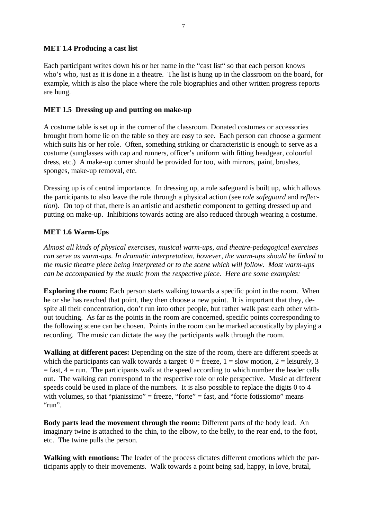#### **MET 1.4 Producing a cast list**

Each participant writes down his or her name in the "cast list" so that each person knows who's who, just as it is done in a theatre. The list is hung up in the classroom on the board, for example, which is also the place where the role biographies and other written progress reports are hung.

#### **MET 1.5 Dressing up and putting on make-up**

A costume table is set up in the corner of the classroom. Donated costumes or accessories brought from home lie on the table so they are easy to see. Each person can choose a garment which suits his or her role. Often, something striking or characteristic is enough to serve as a costume (sunglasses with cap and runners, officer's uniform with fitting headgear, colourful dress, etc.) A make-up corner should be provided for too, with mirrors, paint, brushes, sponges, make-up removal, etc.

Dressing up is of central importance. In dressing up, a role safeguard is built up, which allows the participants to also leave the role through a physical action (see r*ole safeguard* and r*eflection*). On top of that, there is an artistic and aesthetic component to getting dressed up and putting on make-up. Inhibitions towards acting are also reduced through wearing a costume.

## **MET 1.6 Warm-Ups**

*Almost all kinds of physical exercises, musical warm-ups, and theatre-pedagogical exercises can serve as warm-ups. In dramatic interpretation, however, the warm-ups should be linked to the music theatre piece being interpreted or to the scene which will follow. Most warm-ups can be accompanied by the music from the respective piece. Here are some examples:* 

**Exploring the room:** Each person starts walking towards a specific point in the room. When he or she has reached that point, they then choose a new point. It is important that they, despite all their concentration, don't run into other people, but rather walk past each other without touching. As far as the points in the room are concerned, specific points corresponding to the following scene can be chosen. Points in the room can be marked acoustically by playing a recording. The music can dictate the way the participants walk through the room.

**Walking at different paces:** Depending on the size of the room, there are different speeds at which the participants can walk towards a target:  $0 = \text{freeze}, 1 = \text{slow motion}, 2 = \text{leisurely}, 3$  $=$  fast,  $4 =$  run. The participants walk at the speed according to which number the leader calls out. The walking can correspond to the respective role or role perspective. Music at different speeds could be used in place of the numbers. It is also possible to replace the digits 0 to 4 with volumes, so that "pianissimo" = freeze, "forte" = fast, and "forte fotissiomo" means " $rum$ ".

**Body parts lead the movement through the room:** Different parts of the body lead. An imaginary twine is attached to the chin, to the elbow, to the belly, to the rear end, to the foot, etc. The twine pulls the person.

**Walking with emotions:** The leader of the process dictates different emotions which the participants apply to their movements. Walk towards a point being sad, happy, in love, brutal,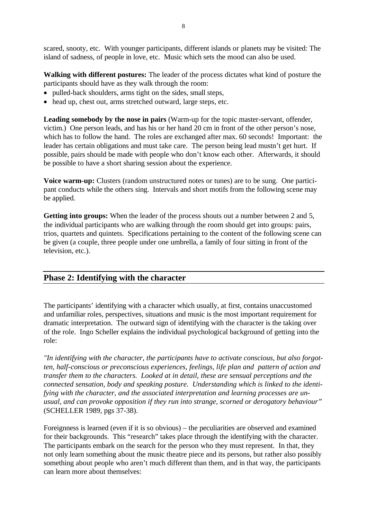scared, snooty, etc. With younger participants, different islands or planets may be visited: The island of sadness, of people in love, etc. Music which sets the mood can also be used.

**Walking with different postures:** The leader of the process dictates what kind of posture the participants should have as they walk through the room:

- pulled-back shoulders, arms tight on the sides, small steps,
- head up, chest out, arms stretched outward, large steps, etc.

**Leading somebody by the nose in pairs** (Warm-up for the topic master-servant, offender, victim.) One person leads, and has his or her hand 20 cm in front of the other person's nose, which has to follow the hand. The roles are exchanged after max. 60 seconds! Important: the leader has certain obligations and must take care. The person being lead mustn't get hurt. If possible, pairs should be made with people who don't know each other. Afterwards, it should be possible to have a short sharing session about the experience.

**Voice warm-up:** Clusters (random unstructured notes or tunes) are to be sung. One participant conducts while the others sing. Intervals and short motifs from the following scene may be applied.

**Getting into groups:** When the leader of the process shouts out a number between 2 and 5, the individual participants who are walking through the room should get into groups: pairs, trios, quartets and quintets. Specifications pertaining to the content of the following scene can be given (a couple, three people under one umbrella, a family of four sitting in front of the television, etc.).

## **Phase 2: Identifying with the character**

The participants' identifying with a character which usually, at first, contains unaccustomed and unfamiliar roles, perspectives, situations and music is the most important requirement for dramatic interpretation. The outward sign of identifying with the character is the taking over of the role. Ingo Scheller explains the individual psychological background of getting into the role:

*"In identifying with the character, the participants have to activate conscious, but also forgotten, half-conscious or preconscious experiences, feelings, life plan and pattern of action and transfer them to the characters. Looked at in detail, these are sensual perceptions and the connected sensation, body and speaking posture. Understanding which is linked to the identifying with the character, and the associated interpretation and learning processes are unusual, and can provoke opposition if they run into strange, scorned or derogatory behaviour"*  (SCHELLER 1989, pgs 37-38).

Foreignness is learned (even if it is so obvious) – the peculiarities are observed and examined for their backgrounds. This "research" takes place through the identifying with the character. The participants embark on the search for the person who they must represent. In that, they not only learn something about the music theatre piece and its persons, but rather also possibly something about people who aren't much different than them, and in that way, the participants can learn more about themselves: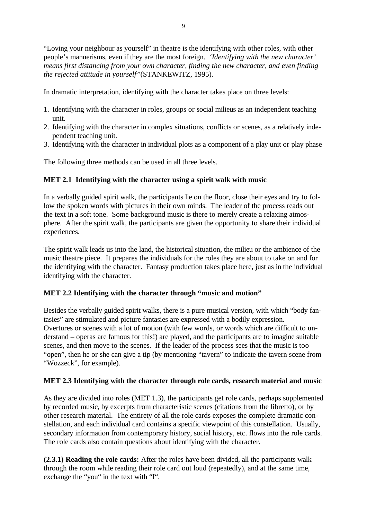9

"Loving your neighbour as yourself" in theatre is the identifying with other roles, with other people's mannerisms, even if they are the most foreign. *'Identifying with the new character' means first distancing from your own character, finding the new character, and even finding the rejected attitude in yourself"*(STANKEWITZ, 1995).

In dramatic interpretation, identifying with the character takes place on three levels:

- 1. Identifying with the character in roles, groups or social milieus as an independent teaching unit.
- 2. Identifying with the character in complex situations, conflicts or scenes, as a relatively independent teaching unit.
- 3. Identifying with the character in individual plots as a component of a play unit or play phase

The following three methods can be used in all three levels.

# **MET 2.1 Identifying with the character using a spirit walk with music**

In a verbally guided spirit walk, the participants lie on the floor, close their eyes and try to follow the spoken words with pictures in their own minds. The leader of the process reads out the text in a soft tone. Some background music is there to merely create a relaxing atmosphere. After the spirit walk, the participants are given the opportunity to share their individual experiences.

The spirit walk leads us into the land, the historical situation, the milieu or the ambience of the music theatre piece. It prepares the individuals for the roles they are about to take on and for the identifying with the character. Fantasy production takes place here, just as in the individual identifying with the character.

## **MET 2.2 Identifying with the character through "music and motion"**

Besides the verbally guided spirit walks, there is a pure musical version, with which "body fantasies" are stimulated and picture fantasies are expressed with a bodily expression. Overtures or scenes with a lot of motion (with few words, or words which are difficult to understand – operas are famous for this!) are played, and the participants are to imagine suitable scenes, and then move to the scenes. If the leader of the process sees that the music is too "open", then he or she can give a tip (by mentioning "tavern" to indicate the tavern scene from "Wozzeck", for example).

# **MET 2.3 Identifying with the character through role cards, research material and music**

As they are divided into roles (MET 1.3), the participants get role cards, perhaps supplemented by recorded music, by excerpts from characteristic scenes (citations from the libretto), or by other research material. The entirety of all the role cards exposes the complete dramatic constellation, and each individual card contains a specific viewpoint of this constellation. Usually, secondary information from contemporary history, social history, etc. flows into the role cards. The role cards also contain questions about identifying with the character.

**(2.3.1) Reading the role cards:** After the roles have been divided, all the participants walk through the room while reading their role card out loud (repeatedly), and at the same time, exchange the "you" in the text with "I".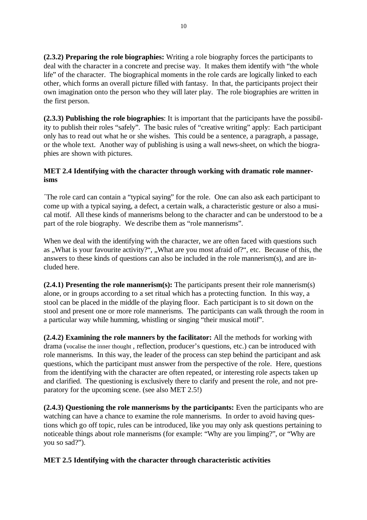**(2.3.2) Preparing the role biographies:** Writing a role biography forces the participants to deal with the character in a concrete and precise way. It makes them identify with "the whole life" of the character. The biographical moments in the role cards are logically linked to each other, which forms an overall picture filled with fantasy. In that, the participants project their own imagination onto the person who they will later play. The role biographies are written in the first person.

**(2.3.3) Publishing the role biographies**: It is important that the participants have the possibility to publish their roles "safely". The basic rules of "creative writing" apply: Each participant only has to read out what he or she wishes. This could be a sentence, a paragraph, a passage, or the whole text. Another way of publishing is using a wall news-sheet, on which the biographies are shown with pictures.

## **MET 2.4 Identifying with the character through working with dramatic role mannerisms**

´The role card can contain a "typical saying" for the role. One can also ask each participant to come up with a typical saying, a defect, a certain walk, a characteristic gesture or also a musical motif. All these kinds of mannerisms belong to the character and can be understood to be a part of the role biography. We describe them as "role mannerisms".

When we deal with the identifying with the character, we are often faced with questions such as "What is your favourite activity?", "What are you most afraid of?", etc. Because of this, the answers to these kinds of questions can also be included in the role mannerism(s), and are included here.

**(2.4.1) Presenting the role mannerism(s):** The participants present their role mannerism(s) alone, or in groups according to a set ritual which has a protecting function. In this way, a stool can be placed in the middle of the playing floor. Each participant is to sit down on the stool and present one or more role mannerisms. The participants can walk through the room in a particular way while humming, whistling or singing "their musical motif".

**(2.4.2) Examining the role manners by the facilitator:** All the methods for working with drama (vocalise the inner thought , reflection, producer's questions, etc.) can be introduced with role mannerisms. In this way, the leader of the process can step behind the participant and ask questions, which the participant must answer from the perspective of the role. Here, questions from the identifying with the character are often repeated, or interesting role aspects taken up and clarified. The questioning is exclusively there to clarify and present the role, and not preparatory for the upcoming scene. (see also MET 2.5!)

**(2.4.3) Questioning the role mannerisms by the participants:** Even the participants who are watching can have a chance to examine the role mannerisms. In order to avoid having questions which go off topic, rules can be introduced, like you may only ask questions pertaining to noticeable things about role mannerisms (for example: "Why are you limping?", or "Why are you so sad?").

## **MET 2.5 Identifying with the character through characteristic activities**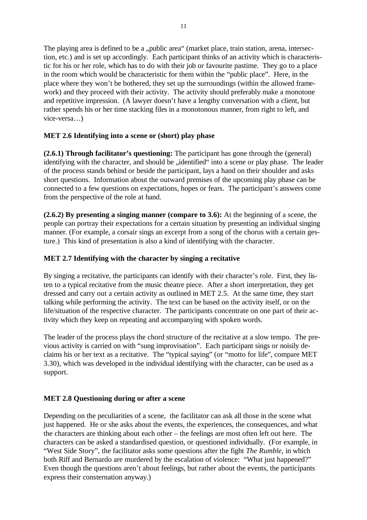The playing area is defined to be a "public area" (market place, train station, arena, intersection, etc.) and is set up accordingly. Each participant thinks of an activity which is characteristic for his or her role, which has to do with their job or favourite pastime. They go to a place in the room which would be characteristic for them within the "public place". Here, in the place where they won't be bothered, they set up the surroundings (within the allowed framework) and they proceed with their activity. The activity should preferably make a monotone and repetitive impression. (A lawyer doesn't have a lengthy conversation with a client, but rather spends his or her time stacking files in a monotonous manner, from right to left, and vice-versa…)

# **MET 2.6 Identifying into a scene or (short) play phase**

**(2.6.1) Through facilitator's questioning:** The participant has gone through the (general) identifying with the character, and should be "identified" into a scene or play phase. The leader of the process stands behind or beside the participant, lays a hand on their shoulder and asks short questions. Information about the outward premises of the upcoming play phase can be connected to a few questions on expectations, hopes or fears. The participant's answers come from the perspective of the role at hand.

**(2.6.2) By presenting a singing manner (compare to 3.6):** At the beginning of a scene, the people can portray their expectations for a certain situation by presenting an individual singing manner. (For example, a corsair sings an excerpt from a song of the chorus with a certain gesture.) This kind of presentation is also a kind of identifying with the character.

# **MET 2.7 Identifying with the character by singing a recitative**

By singing a recitative, the participants can identify with their character's role. First, they listen to a typical recitative from the music theatre piece. After a short interpretation, they get dressed and carry out a certain activity as outlined in MET 2.5. At the same time, they start talking while performing the activity. The text can be based on the activity itself, or on the life/situation of the respective character. The participants concentrate on one part of their activity which they keep on repeating and accompanying with spoken words.

The leader of the process plays the chord structure of the recitative at a slow tempo. The previous activity is carried on with "sung improvisation". Each participant sings or noisily declaims his or her text as a recitative. The "typical saying" (or "motto for life", compare MET 3.30), which was developed in the individual identifying with the character, can be used as a support.

## **MET 2.8 Questioning during or after a scene**

Depending on the peculiarities of a scene, the facilitator can ask all those in the scene what just happened. He or she asks about the events, the experiences, the consequences, and what the characters are thinking about each other – the feelings are most often left out here. The characters can be asked a standardised question, or questioned individually. (For example, in "West Side Story", the facilitator asks some questions after the fight *The Rumble*, in which both Riff and Bernardo are murdered by the escalation of violence: "What just happened?" Even though the questions aren't about feelings, but rather about the events, the participants express their consternation anyway.)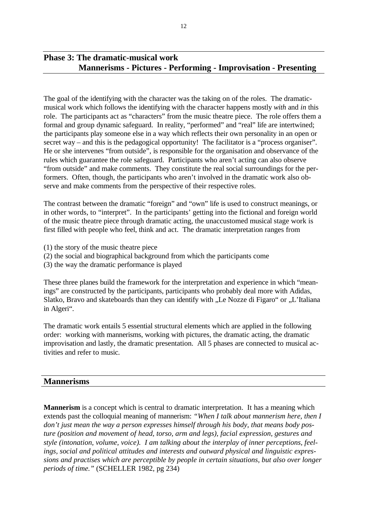# **Phase 3: The dramatic-musical work Mannerisms - Pictures - Performing - Improvisation - Presenting**

The goal of the identifying with the character was the taking on of the roles. The dramaticmusical work which follows the identifying with the character happens mostly *with* and *in* this role. The participants act as "characters" from the music theatre piece. The role offers them a formal and group dynamic safeguard. In reality, "performed" and "real" life are intertwined; the participants play someone else in a way which reflects their own personality in an open or secret way – and this is the pedagogical opportunity! The facilitator is a "process organiser". He or she intervenes "from outside", is responsible for the organisation and observance of the rules which guarantee the role safeguard. Participants who aren't acting can also observe "from outside" and make comments. They constitute the real social surroundings for the performers. Often, though, the participants who aren't involved in the dramatic work also observe and make comments from the perspective of their respective roles.

The contrast between the dramatic "foreign" and "own" life is used to construct meanings, or in other words, to "interpret". In the participants' getting into the fictional and foreign world of the music theatre piece through dramatic acting, the unaccustomed musical stage work is first filled with people who feel, think and act. The dramatic interpretation ranges from

- (1) the story of the music theatre piece
- (2) the social and biographical background from which the participants come
- (3) the way the dramatic performance is played

These three planes build the framework for the interpretation and experience in which "meanings" are constructed by the participants, participants who probably deal more with Adidas, Slatko, Bravo and skateboards than they can identify with "Le Nozze di Figaro" or "L'Italiana in Algeri".

The dramatic work entails 5 essential structural elements which are applied in the following order: working with mannerisms, working with pictures, the dramatic acting, the dramatic improvisation and lastly, the dramatic presentation. All 5 phases are connected to musical activities and refer to music.

## **Mannerisms**

**Mannerism** is a concept which is central to dramatic interpretation. It has a meaning which extends past the colloquial meaning of mannerism: *"When I talk about mannerism here, then I don't just mean the way a person expresses himself through his body, that means body posture (position and movement of head, torso, arm and legs), facial expression, gestures and style (intonation, volume, voice). I am talking about the interplay of inner perceptions, feelings, social and political attitudes and interests and outward physical and linguistic expressions and practises which are perceptible by people in certain situations, but also over longer periods of time."* (SCHELLER 1982, pg 234)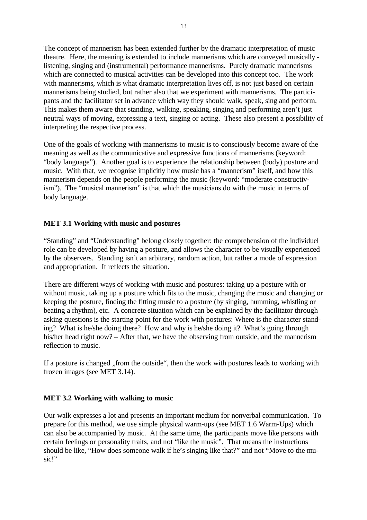The concept of mannerism has been extended further by the dramatic interpretation of music theatre. Here, the meaning is extended to include mannerisms which are conveyed musically listening, singing and (instrumental) performance mannerisms. Purely dramatic mannerisms which are connected to musical activities can be developed into this concept too. The work with mannerisms, which is what dramatic interpretation lives off, is not just based on certain mannerisms being studied, but rather also that we experiment with mannerisms. The participants and the facilitator set in advance which way they should walk, speak, sing and perform. This makes them aware that standing, walking, speaking, singing and performing aren't just neutral ways of moving, expressing a text, singing or acting. These also present a possibility of interpreting the respective process.

One of the goals of working with mannerisms to music is to consciously become aware of the meaning as well as the communicative and expressive functions of mannerisms (keyword: "body language"). Another goal is to experience the relationship between (body) posture and music. With that, we recognise implicitly how music has a "mannerism" itself, and how this mannerism depends on the people performing the music (keyword: "moderate constructivism"). The "musical mannerism" is that which the musicians do with the music in terms of body language.

#### **MET 3.1 Working with music and postures**

"Standing" and "Understanding" belong closely together: the comprehension of the individuel role can be developed by having a posture, and allows the character to be visually experienced by the observers. Standing isn't an arbitrary, random action, but rather a mode of expression and appropriation. It reflects the situation.

There are different ways of working with music and postures: taking up a posture with or without music, taking up a posture which fits to the music, changing the music and changing or keeping the posture, finding the fitting music to a posture (by singing, humming, whistling or beating a rhythm), etc. A concrete situation which can be explained by the facilitator through asking questions is the starting point for the work with postures: Where is the character standing? What is he/she doing there? How and why is he/she doing it? What's going through his/her head right now? – After that, we have the observing from outside, and the mannerism reflection to music.

If a posture is changed "from the outside", then the work with postures leads to working with frozen images (see MET 3.14).

#### **MET 3.2 Working with walking to music**

Our walk expresses a lot and presents an important medium for nonverbal communication. To prepare for this method, we use simple physical warm-ups (see MET 1.6 Warm-Ups) which can also be accompanied by music. At the same time, the participants move like persons with certain feelings or personality traits, and not "like the music". That means the instructions should be like, "How does someone walk if he's singing like that?" and not "Move to the music!"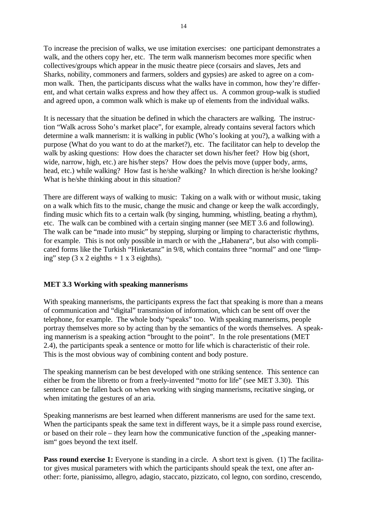To increase the precision of walks, we use imitation exercises: one participant demonstrates a walk, and the others copy her, etc. The term walk mannerism becomes more specific when collectives/groups which appear in the music theatre piece (corsairs and slaves, Jets and Sharks, nobility, commoners and farmers, solders and gypsies) are asked to agree on a common walk. Then, the participants discuss what the walks have in common, how they're different, and what certain walks express and how they affect us. A common group-walk is studied and agreed upon, a common walk which is make up of elements from the individual walks.

It is necessary that the situation be defined in which the characters are walking. The instruction "Walk across Soho's market place", for example, already contains several factors which determine a walk mannerism: it is walking in public (Who's looking at you?), a walking with a purpose (What do you want to do at the market?), etc. The facilitator can help to develop the walk by asking questions: How does the character set down his/her feet? How big (short, wide, narrow, high, etc.) are his/her steps? How does the pelvis move (upper body, arms, head, etc.) while walking? How fast is he/she walking? In which direction is he/she looking? What is he/she thinking about in this situation?

There are different ways of walking to music: Taking on a walk with or without music, taking on a walk which fits to the music, change the music and change or keep the walk accordingly, finding music which fits to a certain walk (by singing, humming, whistling, beating a rhythm), etc. The walk can be combined with a certain singing manner (see MET 3.6 and following). The walk can be "made into music" by stepping, slurping or limping to characteristic rhythms, for example. This is not only possible in march or with the "Habanera", but also with complicated forms like the Turkish "Hinketanz" in 9/8, which contains three "normal" and one "limping" step  $(3 \times 2 \text{ eighths} + 1 \times 3 \text{ eighths}).$ 

#### **MET 3.3 Working with speaking mannerisms**

With speaking mannerisms, the participants express the fact that speaking is more than a means of communication and "digital" transmission of information, which can be sent off over the telephone, for example. The whole body "speaks" too. With speaking mannerisms, people portray themselves more so by acting than by the semantics of the words themselves. A speaking mannerism is a speaking action "brought to the point". In the role presentations (MET 2.4), the participants speak a sentence or motto for life which is characteristic of their role. This is the most obvious way of combining content and body posture.

The speaking mannerism can be best developed with one striking sentence. This sentence can either be from the libretto or from a freely-invented "motto for life" (see MET 3.30). This sentence can be fallen back on when working with singing mannerisms, recitative singing, or when imitating the gestures of an aria.

Speaking mannerisms are best learned when different mannerisms are used for the same text. When the participants speak the same text in different ways, be it a simple pass round exercise, or based on their role – they learn how the communicative function of the  $\alpha$ , speaking mannerism" goes beyond the text itself.

**Pass round exercise 1:** Everyone is standing in a circle. A short text is given. (1) The facilitator gives musical parameters with which the participants should speak the text, one after another: forte, pianissimo, allegro, adagio, staccato, pizzicato, col legno, con sordino, crescendo,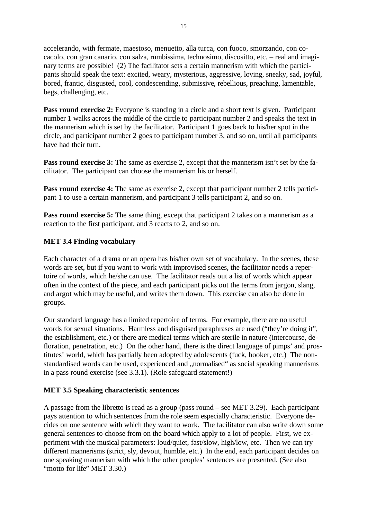accelerando, with fermate, maestoso, menuetto, alla turca, con fuoco, smorzando, con cocacolo, con gran canario, con salza, rumbissima, technosimo, discositto, etc. – real and imaginary terms are possible! (2) The facilitator sets a certain mannerism with which the participants should speak the text: excited, weary, mysterious, aggressive, loving, sneaky, sad, joyful, bored, frantic, disgusted, cool, condescending, submissive, rebellious, preaching, lamentable, begs, challenging, etc.

**Pass round exercise 2:** Everyone is standing in a circle and a short text is given. Participant number 1 walks across the middle of the circle to participant number 2 and speaks the text in the mannerism which is set by the facilitator. Participant 1 goes back to his/her spot in the circle, and participant number 2 goes to participant number 3, and so on, until all participants have had their turn.

**Pass round exercise 3:** The same as exercise 2, except that the mannerism isn't set by the facilitator. The participant can choose the mannerism his or herself.

**Pass round exercise 4:** The same as exercise 2, except that participant number 2 tells participant 1 to use a certain mannerism, and participant 3 tells participant 2, and so on.

Pass round exercise 5: The same thing, except that participant 2 takes on a mannerism as a reaction to the first participant, and 3 reacts to 2, and so on.

#### **MET 3.4 Finding vocabulary**

Each character of a drama or an opera has his/her own set of vocabulary. In the scenes, these words are set, but if you want to work with improvised scenes, the facilitator needs a repertoire of words, which he/she can use. The facilitator reads out a list of words which appear often in the context of the piece, and each participant picks out the terms from jargon, slang, and argot which may be useful, and writes them down. This exercise can also be done in groups.

Our standard language has a limited repertoire of terms. For example, there are no useful words for sexual situations. Harmless and disguised paraphrases are used ("they're doing it", the establishment, etc.) or there are medical terms which are sterile in nature (intercourse, defloration, penetration, etc.) On the other hand, there is the direct language of pimps' and prostitutes' world, which has partially been adopted by adolescents (fuck, hooker, etc.) The nonstandardised words can be used, experienced and "normalised" as social speaking mannerisms in a pass round exercise (see 3.3.1). (Role safeguard statement!)

#### **MET 3.5 Speaking characteristic sentences**

A passage from the libretto is read as a group (pass round – see MET 3.29). Each participant pays attention to which sentences from the role seem especially characteristic. Everyone decides on one sentence with which they want to work. The facilitator can also write down some general sentences to choose from on the board which apply to a lot of people. First, we experiment with the musical parameters: loud/quiet, fast/slow, high/low, etc. Then we can try different mannerisms (strict, sly, devout, humble, etc.) In the end, each participant decides on one speaking mannerism with which the other peoples' sentences are presented. (See also "motto for life" MET 3.30.)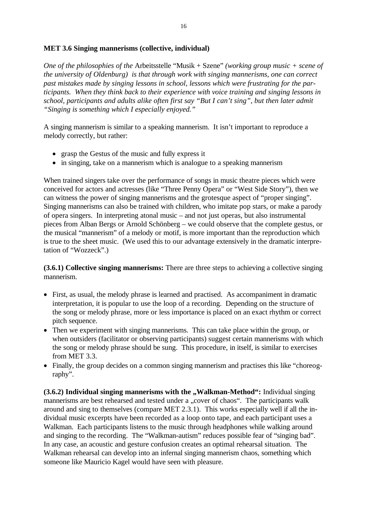#### **MET 3.6 Singing mannerisms (collective, individual)**

*One of the philosophies of the* Arbeitsstelle "Musik + Szene" *(working group music + scene of the university of Oldenburg) is that through work with singing mannerisms, one can correct past mistakes made by singing lessons in school, lessons which were frustrating for the participants. When they think back to their experience with voice training and singing lessons in school, participants and adults alike often first say "But I can't sing", but then later admit "Singing is something which I especially enjoyed."*

A singing mannerism is similar to a speaking mannerism. It isn't important to reproduce a melody correctly, but rather:

- grasp the Gestus of the music and fully express it
- in singing, take on a mannerism which is analogue to a speaking mannerism

When trained singers take over the performance of songs in music theatre pieces which were conceived for actors and actresses (like "Three Penny Opera" or "West Side Story"), then we can witness the power of singing mannerisms and the grotesque aspect of "proper singing". Singing mannerisms can also be trained with children, who imitate pop stars, or make a parody of opera singers. In interpreting atonal music – and not just operas, but also instrumental pieces from Alban Bergs or Arnold Schönberg – we could observe that the complete gestus, or the musical "mannerism" of a melody or motif, is more important than the reproduction which is true to the sheet music. (We used this to our advantage extensively in the dramatic interpretation of "Wozzeck".)

**(3.6.1) Collective singing mannerisms:** There are three steps to achieving a collective singing mannerism.

- First, as usual, the melody phrase is learned and practised. As accompaniment in dramatic interpretation, it is popular to use the loop of a recording. Depending on the structure of the song or melody phrase, more or less importance is placed on an exact rhythm or correct pitch sequence.
- Then we experiment with singing mannerisms. This can take place within the group, or when outsiders (facilitator or observing participants) suggest certain mannerisms with which the song or melody phrase should be sung. This procedure, in itself, is similar to exercises from MET 3.3.
- Finally, the group decides on a common singing mannerism and practises this like "choreography".

**(3.6.2) Individual singing mannerisms with the "Walkman-Method":** Individual singing mannerisms are best rehearsed and tested under a "cover of chaos". The participants walk around and sing to themselves (compare MET 2.3.1). This works especially well if all the individual music excerpts have been recorded as a loop onto tape, and each participant uses a Walkman. Each participants listens to the music through headphones while walking around and singing to the recording. The "Walkman-autism" reduces possible fear of "singing bad". In any case, an acoustic and gesture confusion creates an optimal rehearsal situation. The Walkman rehearsal can develop into an infernal singing mannerism chaos, something which someone like Mauricio Kagel would have seen with pleasure.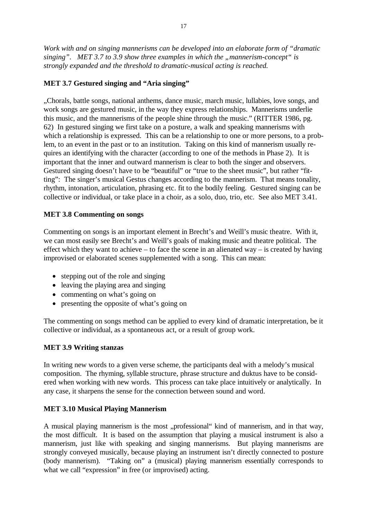*Work with and on singing mannerisms can be developed into an elaborate form of "dramatic singing".* MET 3.7 to 3.9 show three examples in which the "mannerism-concept" is *strongly expanded and the threshold to dramatic-musical acting is reached.* 

## **MET 3.7 Gestured singing and "Aria singing"**

"Chorals, battle songs, national anthems, dance music, march music, lullabies, love songs, and work songs are gestured music, in the way they express relationships. Mannerisms underlie this music, and the mannerisms of the people shine through the music." (RITTER 1986, pg. 62) In gestured singing we first take on a posture, a walk and speaking mannerisms with which a relationship is expressed. This can be a relationship to one or more persons, to a problem, to an event in the past or to an institution. Taking on this kind of mannerism usually requires an identifying with the character (according to one of the methods in Phase 2). It is important that the inner and outward mannerism is clear to both the singer and observers. Gestured singing doesn't have to be "beautiful" or "true to the sheet music", but rather "fitting": The singer's musical Gestus changes according to the mannerism. That means tonality, rhythm, intonation, articulation, phrasing etc. fit to the bodily feeling. Gestured singing can be collective or individual, or take place in a choir, as a solo, duo, trio, etc. See also MET 3.41.

## **MET 3.8 Commenting on songs**

Commenting on songs is an important element in Brecht's and Weill's music theatre. With it, we can most easily see Brecht's and Weill's goals of making music and theatre political. The effect which they want to achieve – to face the scene in an alienated way – is created by having improvised or elaborated scenes supplemented with a song. This can mean:

- stepping out of the role and singing
- leaving the playing area and singing
- commenting on what's going on
- presenting the opposite of what's going on

The commenting on songs method can be applied to every kind of dramatic interpretation, be it collective or individual, as a spontaneous act, or a result of group work.

## **MET 3.9 Writing stanzas**

In writing new words to a given verse scheme, the participants deal with a melody's musical composition. The rhyming, syllable structure, phrase structure and duktus have to be considered when working with new words. This process can take place intuitively or analytically. In any case, it sharpens the sense for the connection between sound and word.

## **MET 3.10 Musical Playing Mannerism**

A musical playing mannerism is the most "professional" kind of mannerism, and in that way, the most difficult. It is based on the assumption that playing a musical instrument is also a mannerism, just like with speaking and singing mannerisms. But playing mannerisms are strongly conveyed musically, because playing an instrument isn't directly connected to posture (body mannerism). "Taking on" a (musical) playing mannerism essentially corresponds to what we call "expression" in free (or improvised) acting.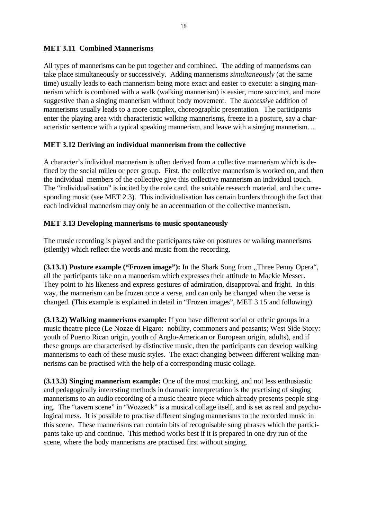#### **MET 3.11 Combined Mannerisms**

All types of mannerisms can be put together and combined. The adding of mannerisms can take place simultaneously or successively. Adding mannerisms *simultaneously* (at the same time) usually leads to each mannerism being more exact and easier to execute: a singing mannerism which is combined with a walk (walking mannerism) is easier, more succinct, and more suggestive than a singing mannerism without body movement. The *successive* addition of mannerisms usually leads to a more complex, choreographic presentation. The participants enter the playing area with characteristic walking mannerisms, freeze in a posture, say a characteristic sentence with a typical speaking mannerism, and leave with a singing mannerism…

#### **MET 3.12 Deriving an individual mannerism from the collective**

A character's individual mannerism is often derived from a collective mannerism which is defined by the social milieu or peer group. First, the collective mannerism is worked on, and then the individual members of the collective give this collective mannerism an individual touch. The "individualisation" is incited by the role card, the suitable research material, and the corresponding music (see MET 2.3). This individualisation has certain borders through the fact that each individual mannerism may only be an accentuation of the collective mannerism.

## **MET 3.13 Developing mannerisms to music spontaneously**

The music recording is played and the participants take on postures or walking mannerisms (silently) which reflect the words and music from the recording.

**(3.13.1) Posture example ("Frozen image"):** In the Shark Song from "Three Penny Opera", all the participants take on a mannerism which expresses their attitude to Mackie Messer. They point to his likeness and express gestures of admiration, disapproval and fright. In this way, the mannerism can be frozen once a verse, and can only be changed when the verse is changed. (This example is explained in detail in "Frozen images", MET 3.15 and following)

**(3.13.2) Walking mannerisms example:** If you have different social or ethnic groups in a music theatre piece (Le Nozze di Figaro: nobility, commoners and peasants; West Side Story: youth of Puerto Rican origin, youth of Anglo-American or European origin, adults), and if these groups are characterised by distinctive music, then the participants can develop walking mannerisms to each of these music styles. The exact changing between different walking mannerisms can be practised with the help of a corresponding music collage.

**(3.13.3) Singing mannerism example:** One of the most mocking, and not less enthusiastic and pedagogically interesting methods in dramatic interpretation is the practising of singing mannerisms to an audio recording of a music theatre piece which already presents people singing. The "tavern scene" in "Wozzeck" is a musical collage itself, and is set as real and psychological mess. It is possible to practise different singing mannerisms to the recorded music in this scene. These mannerisms can contain bits of recognisable sung phrases which the participants take up and continue. This method works best if it is prepared in one dry run of the scene, where the body mannerisms are practised first without singing.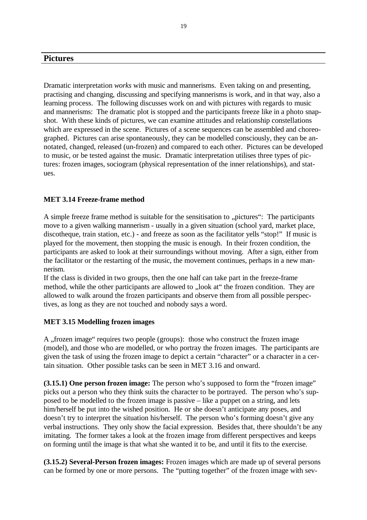## **Pictures**

Dramatic interpretation *works* with music and mannerisms. Even taking on and presenting, practising and changing, discussing and specifying mannerisms is work, and in that way, also a learning process. The following discusses work on and with pictures with regards to music and mannerisms: The dramatic plot is stopped and the participants freeze like in a photo snapshot. With these kinds of pictures, we can examine attitudes and relationship constellations which are expressed in the scene. Pictures of a scene sequences can be assembled and choreographed. Pictures can arise spontaneously, they can be modelled consciously, they can be annotated, changed, released (un-frozen) and compared to each other. Pictures can be developed to music, or be tested against the music. Dramatic interpretation utilises three types of pictures: frozen images, sociogram (physical representation of the inner relationships), and statues.

#### **MET 3.14 Freeze-frame method**

A simple freeze frame method is suitable for the sensitisation to "pictures": The participants move to a given walking mannerism - usually in a given situation (school yard, market place, discotheque, train station, etc.) - and freeze as soon as the facilitator yells "stop!" If music is played for the movement, then stopping the music is enough. In their frozen condition, the participants are asked to look at their surroundings without moving. After a sign, either from the facilitator or the restarting of the music, the movement continues, perhaps in a new mannerism.

If the class is divided in two groups, then the one half can take part in the freeze-frame method, while the other participants are allowed to "look at" the frozen condition. They are allowed to walk around the frozen participants and observe them from all possible perspectives, as long as they are not touched and nobody says a word.

#### **MET 3.15 Modelling frozen images**

A , frozen image " requires two people (groups): those who construct the frozen image (model), and those who are modelled, or who portray the frozen images. The participants are given the task of using the frozen image to depict a certain "character" or a character in a certain situation. Other possible tasks can be seen in MET 3.16 and onward.

**(3.15.1) One person frozen image:** The person who's supposed to form the "frozen image" picks out a person who they think suits the character to be portrayed. The person who's supposed to be modelled to the frozen image is passive – like a puppet on a string, and lets him/herself be put into the wished position. He or she doesn't anticipate any poses, and doesn't try to interpret the situation his/herself. The person who's forming doesn't give any verbal instructions. They only show the facial expression. Besides that, there shouldn't be any imitating. The former takes a look at the frozen image from different perspectives and keeps on forming until the image is that what she wanted it to be, and until it fits to the exercise.

**(3.15.2) Several-Person frozen images:** Frozen images which are made up of several persons can be formed by one or more persons. The "putting together" of the frozen image with sev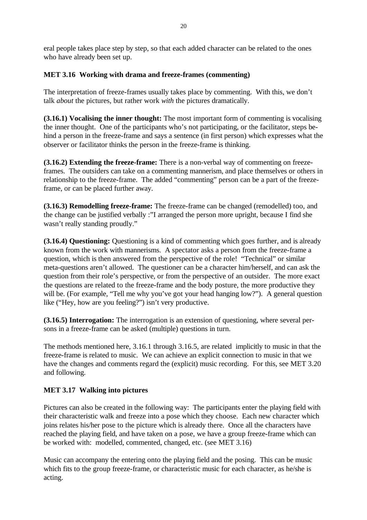eral people takes place step by step, so that each added character can be related to the ones who have already been set up.

## **MET 3.16 Working with drama and freeze-frames (commenting)**

The interpretation of freeze-frames usually takes place by commenting. With this, we don't talk *about* the pictures, but rather work *with* the pictures dramatically.

**(3.16.1) Vocalising the inner thought:** The most important form of commenting is vocalising the inner thought. One of the participants who's not participating, or the facilitator, steps behind a person in the freeze-frame and says a sentence (in first person) which expresses what the observer or facilitator thinks the person in the freeze-frame is thinking.

**(3.16.2) Extending the freeze-frame:** There is a non-verbal way of commenting on freezeframes. The outsiders can take on a commenting mannerism, and place themselves or others in relationship to the freeze-frame. The added "commenting" person can be a part of the freezeframe, or can be placed further away.

**(3.16.3) Remodelling freeze-frame:** The freeze-frame can be changed (remodelled) too, and the change can be justified verbally :"I arranged the person more upright, because I find she wasn't really standing proudly."

**(3.16.4) Questioning:** Questioning is a kind of commenting which goes further, and is already known from the work with mannerisms. A spectator asks a person from the freeze-frame a question, which is then answered from the perspective of the role! "Technical" or similar meta-questions aren't allowed. The questioner can be a character him/herself, and can ask the question from their role's perspective, or from the perspective of an outsider. The more exact the questions are related to the freeze-frame and the body posture, the more productive they will be. (For example, "Tell me why you've got your head hanging low?"). A general question like ("Hey, how are you feeling?") isn't very productive.

**(3.16.5) Interrogation:** The interrogation is an extension of questioning, where several persons in a freeze-frame can be asked (multiple) questions in turn.

The methods mentioned here, 3.16.1 through 3.16.5, are related implicitly to music in that the freeze-frame is related to music. We can achieve an explicit connection to music in that we have the changes and comments regard the (explicit) music recording. For this, see MET 3.20 and following.

# **MET 3.17 Walking into pictures**

Pictures can also be created in the following way: The participants enter the playing field with their characteristic walk and freeze into a pose which they choose. Each new character which joins relates his/her pose to the picture which is already there. Once all the characters have reached the playing field, and have taken on a pose, we have a group freeze-frame which can be worked with: modelled, commented, changed, etc. (see MET 3.16)

Music can accompany the entering onto the playing field and the posing. This can be music which fits to the group freeze-frame, or characteristic music for each character, as he/she is acting.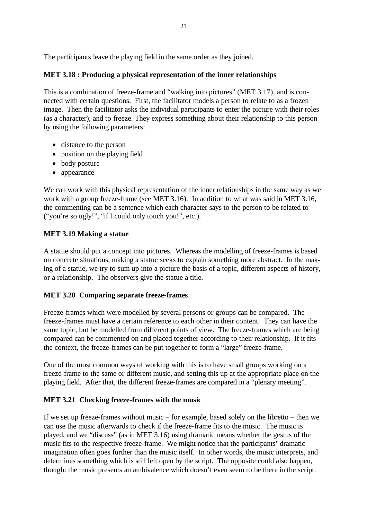The participants leave the playing field in the same order as they joined.

# **MET 3.18 : Producing a physical representation of the inner relationships**

This is a combination of freeze-frame and "walking into pictures" (MET 3.17), and is connected with certain questions. First, the facilitator models a person to relate to as a frozen image. Then the facilitator asks the individual participants to enter the picture with their roles (as a character), and to freeze. They express something about their relationship to this person by using the following parameters:

- distance to the person
- position on the playing field
- body posture
- appearance

We can work with this physical representation of the inner relationships in the same way as we work with a group freeze-frame (see MET 3.16). In addition to what was said in MET 3.16, the commenting can be a sentence which each character says to the person to be related to ("you're so ugly!", "if I could only touch you!", etc.).

# **MET 3.19 Making a statue**

A statue should put a concept into pictures. Whereas the modelling of freeze-frames is based on concrete situations, making a statue seeks to explain something more abstract. In the making of a statue, we try to sum up into a picture the basis of a topic, different aspects of history, or a relationship. The observers give the statue a title.

## **MET 3.20 Comparing separate freeze-frames**

Freeze-frames which were modelled by several persons or groups can be compared. The freeze-frames must have a certain reference to each other in their content. They can have the same topic, but be modelled from different points of view. The freeze-frames which are being compared can be commented on and placed together according to their relationship. If it fits the context, the freeze-frames can be put together to form a "large" freeze-frame.

One of the most common ways of working with this is to have small groups working on a freeze-frame to the same or different music, and setting this up at the appropriate place on the playing field. After that, the different freeze-frames are compared in a "plenary meeting".

## **MET 3.21 Checking freeze-frames with the music**

If we set up freeze-frames without music – for example, based solely on the libretto – then we can use the music afterwards to check if the freeze-frame fits to the music. The music is played, and we "discuss" (as in MET 3.16) using dramatic means whether the gestus of the music fits to the respective freeze-frame. We might notice that the participants' dramatic imagination often goes further than the music itself. In other words, the music interprets, and determines something which is still left open by the script. The opposite could also happen, though: the music presents an ambivalence which doesn't even seem to be there in the script.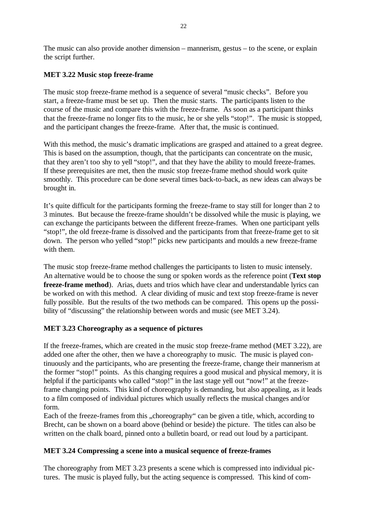The music can also provide another dimension – mannerism, gestus – to the scene, or explain the script further.

## **MET 3.22 Music stop freeze-frame**

The music stop freeze-frame method is a sequence of several "music checks". Before you start, a freeze-frame must be set up. Then the music starts. The participants listen to the course of the music and compare this with the freeze-frame. As soon as a participant thinks that the freeze-frame no longer fits to the music, he or she yells "stop!". The music is stopped, and the participant changes the freeze-frame. After that, the music is continued.

With this method, the music's dramatic implications are grasped and attained to a great degree. This is based on the assumption, though, that the participants can concentrate on the music, that they aren't too shy to yell "stop!", and that they have the ability to mould freeze-frames. If these prerequisites are met, then the music stop freeze-frame method should work quite smoothly. This procedure can be done several times back-to-back, as new ideas can always be brought in.

It's quite difficult for the participants forming the freeze-frame to stay still for longer than 2 to 3 minutes. But because the freeze-frame shouldn't be dissolved while the music is playing, we can exchange the participants between the different freeze-frames. When one participant yells "stop!", the old freeze-frame is dissolved and the participants from that freeze-frame get to sit down. The person who yelled "stop!" picks new participants and moulds a new freeze-frame with them.

The music stop freeze-frame method challenges the participants to listen to music intensely. An alternative would be to choose the sung or spoken words as the reference point (**Text stop freeze-frame method**). Arias, duets and trios which have clear and understandable lyrics can be worked on with this method. A clear dividing of music and text stop freeze-frame is never fully possible. But the results of the two methods can be compared. This opens up the possibility of "discussing" the relationship between words and music (see MET 3.24).

## **MET 3.23 Choreography as a sequence of pictures**

If the freeze-frames, which are created in the music stop freeze-frame method (MET 3.22), are added one after the other, then we have a choreography to music. The music is played continuously and the participants, who are presenting the freeze-frame, change their mannerism at the former "stop!" points. As this changing requires a good musical and physical memory, it is helpful if the participants who called "stop!" in the last stage yell out "now!" at the freezeframe changing points. This kind of choreography is demanding, but also appealing, as it leads to a film composed of individual pictures which usually reflects the musical changes and/or form.

Each of the freeze-frames from this "choreography" can be given a title, which, according to Brecht, can be shown on a board above (behind or beside) the picture. The titles can also be written on the chalk board, pinned onto a bulletin board, or read out loud by a participant.

#### **MET 3.24 Compressing a scene into a musical sequence of freeze-frames**

The choreography from MET 3.23 presents a scene which is compressed into individual pictures. The music is played fully, but the acting sequence is compressed. This kind of com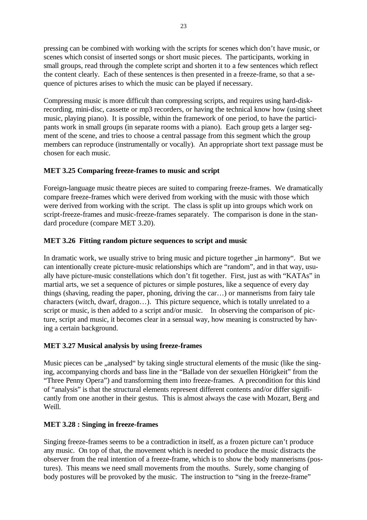pressing can be combined with working with the scripts for scenes which don't have music, or scenes which consist of inserted songs or short music pieces. The participants, working in small groups, read through the complete script and shorten it to a few sentences which reflect the content clearly. Each of these sentences is then presented in a freeze-frame, so that a sequence of pictures arises to which the music can be played if necessary.

Compressing music is more difficult than compressing scripts, and requires using hard-diskrecording, mini-disc, cassette or mp3 recorders, or having the technical know how (using sheet music, playing piano). It is possible, within the framework of one period, to have the participants work in small groups (in separate rooms with a piano). Each group gets a larger segment of the scene, and tries to choose a central passage from this segment which the group members can reproduce (instrumentally or vocally). An appropriate short text passage must be chosen for each music.

# **MET 3.25 Comparing freeze-frames to music and script**

Foreign-language music theatre pieces are suited to comparing freeze-frames. We dramatically compare freeze-frames which were derived from working with the music with those which were derived from working with the script. The class is split up into groups which work on script-freeze-frames and music-freeze-frames separately. The comparison is done in the standard procedure (compare MET 3.20).

# **MET 3.26 Fitting random picture sequences to script and music**

In dramatic work, we usually strive to bring music and picture together , in harmony". But we can intentionally create picture-music relationships which are "random", and in that way, usually have picture-music constellations which don't fit together. First, just as with "KATAs" in martial arts, we set a sequence of pictures or simple postures, like a sequence of every day things (shaving, reading the paper, phoning, driving the car…) or mannerisms from fairy tale characters (witch, dwarf, dragon…). This picture sequence, which is totally unrelated to a script or music, is then added to a script and/or music. In observing the comparison of picture, script and music, it becomes clear in a sensual way, how meaning is constructed by having a certain background.

## **MET 3.27 Musical analysis by using freeze-frames**

Music pieces can be "analysed" by taking single structural elements of the music (like the singing, accompanying chords and bass line in the "Ballade von der sexuellen Hörigkeit" from the "Three Penny Opera") and transforming them into freeze-frames. A precondition for this kind of "analysis" is that the structural elements represent different contents and/or differ significantly from one another in their gestus. This is almost always the case with Mozart, Berg and Weill.

## **MET 3.28 : Singing in freeze-frames**

Singing freeze-frames seems to be a contradiction in itself, as a frozen picture can't produce any music. On top of that, the movement which is needed to produce the music distracts the observer from the real intention of a freeze-frame, which is to show the body mannerisms (postures). This means we need small movements from the mouths. Surely, some changing of body postures will be provoked by the music. The instruction to "sing in the freeze-frame"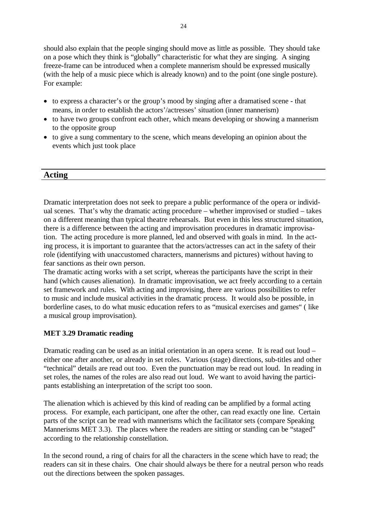should also explain that the people singing should move as little as possible. They should take on a pose which they think is "globally" characteristic for what they are singing. A singing freeze-frame can be introduced when a complete mannerism should be expressed musically (with the help of a music piece which is already known) and to the point (one single posture). For example:

- to express a character's or the group's mood by singing after a dramatised scene that means, in order to establish the actors'/actresses' situation (inner mannerism)
- to have two groups confront each other, which means developing or showing a mannerism to the opposite group
- to give a sung commentary to the scene, which means developing an opinion about the events which just took place

# **Acting**

Dramatic interpretation does not seek to prepare a public performance of the opera or individual scenes. That's why the dramatic acting procedure – whether improvised or studied – takes on a different meaning than typical theatre rehearsals. But even in this less structured situation, there is a difference between the acting and improvisation procedures in dramatic improvisation. The acting procedure is more planned, led and observed with goals in mind. In the acting process, it is important to guarantee that the actors/actresses can act in the safety of their role (identifying with unaccustomed characters, mannerisms and pictures) without having to fear sanctions as their own person.

The dramatic acting works with a set script, whereas the participants have the script in their hand (which causes alienation). In dramatic improvisation, we act freely according to a certain set framework and rules. With acting and improvising, there are various possibilities to refer to music and include musical activities in the dramatic process. It would also be possible, in borderline cases, to do what music education refers to as "musical exercises and games" ( like a musical group improvisation).

#### **MET 3.29 Dramatic reading**

Dramatic reading can be used as an initial orientation in an opera scene. It is read out loud – either one after another, or already in set roles. Various (stage) directions, sub-titles and other "technical" details are read out too. Even the punctuation may be read out loud. In reading in set roles, the names of the roles are also read out loud. We want to avoid having the participants establishing an interpretation of the script too soon.

The alienation which is achieved by this kind of reading can be amplified by a formal acting process. For example, each participant, one after the other, can read exactly one line. Certain parts of the script can be read with mannerisms which the facilitator sets (compare Speaking Mannerisms MET 3.3). The places where the readers are sitting or standing can be "staged" according to the relationship constellation.

In the second round, a ring of chairs for all the characters in the scene which have to read; the readers can sit in these chairs. One chair should always be there for a neutral person who reads out the directions between the spoken passages.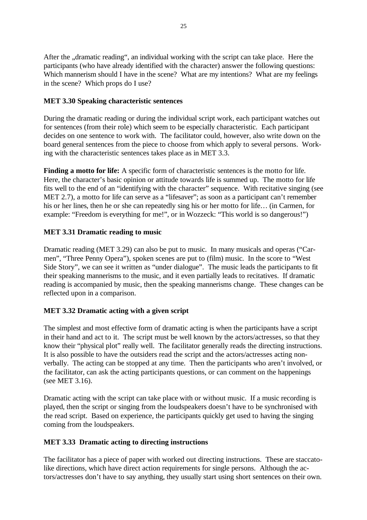After the "dramatic reading", an individual working with the script can take place. Here the participants (who have already identified with the character) answer the following questions: Which mannerism should I have in the scene? What are my intentions? What are my feelings in the scene? Which props do I use?

#### **MET 3.30 Speaking characteristic sentences**

During the dramatic reading or during the individual script work, each participant watches out for sentences (from their role) which seem to be especially characteristic. Each participant decides on one sentence to work with. The facilitator could, however, also write down on the board general sentences from the piece to choose from which apply to several persons. Working with the characteristic sentences takes place as in MET 3.3.

Finding a motto for life: A specific form of characteristic sentences is the motto for life. Here, the character's basic opinion or attitude towards life is summed up. The motto for life fits well to the end of an "identifying with the character" sequence. With recitative singing (see MET 2.7), a motto for life can serve as a "lifesaver"; as soon as a participant can't remember his or her lines, then he or she can repeatedly sing his or her motto for life... (in Carmen, for example: "Freedom is everything for me!", or in Wozzeck: "This world is so dangerous!")

#### **MET 3.31 Dramatic reading to music**

Dramatic reading (MET 3.29) can also be put to music. In many musicals and operas ("Carmen", "Three Penny Opera"), spoken scenes are put to (film) music. In the score to "West Side Story", we can see it written as "under dialogue". The music leads the participants to fit their speaking mannerisms to the music, and it even partially leads to recitatives. If dramatic reading is accompanied by music, then the speaking mannerisms change. These changes can be reflected upon in a comparison.

## **MET 3.32 Dramatic acting with a given script**

The simplest and most effective form of dramatic acting is when the participants have a script in their hand and act to it. The script must be well known by the actors/actresses, so that they know their "physical plot" really well. The facilitator generally reads the directing instructions. It is also possible to have the outsiders read the script and the actors/actresses acting nonverbally. The acting can be stopped at any time. Then the participants who aren't involved, or the facilitator, can ask the acting participants questions, or can comment on the happenings (see MET 3.16).

Dramatic acting with the script can take place with or without music. If a music recording is played, then the script or singing from the loudspeakers doesn't have to be synchronised with the read script. Based on experience, the participants quickly get used to having the singing coming from the loudspeakers.

#### **MET 3.33 Dramatic acting to directing instructions**

The facilitator has a piece of paper with worked out directing instructions. These are staccatolike directions, which have direct action requirements for single persons. Although the actors/actresses don't have to say anything, they usually start using short sentences on their own.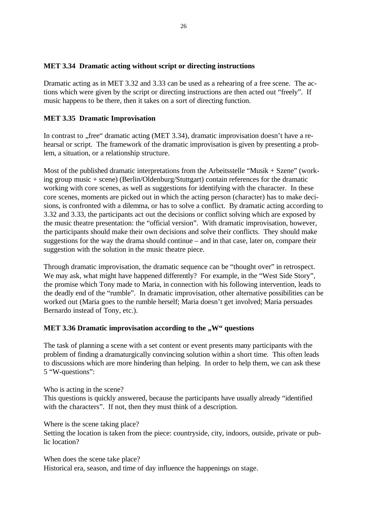#### **MET 3.34 Dramatic acting without script or directing instructions**

Dramatic acting as in MET 3.32 and 3.33 can be used as a rehearing of a free scene. The actions which were given by the script or directing instructions are then acted out "freely". If music happens to be there, then it takes on a sort of directing function.

## **MET 3.35 Dramatic Improvisation**

In contrast to "free" dramatic acting (MET 3.34), dramatic improvisation doesn't have a rehearsal or script. The framework of the dramatic improvisation is given by presenting a problem, a situation, or a relationship structure.

Most of the published dramatic interpretations from the Arbeitsstelle "Musik + Szene" (working group music + scene) (Berlin/Oldenburg/Stuttgart) contain references for the dramatic working with core scenes, as well as suggestions for identifying with the character. In these core scenes, moments are picked out in which the acting person (character) has to make decisions, is confronted with a dilemma, or has to solve a conflict. By dramatic acting according to 3.32 and 3.33, the participants act out the decisions or conflict solving which are exposed by the music theatre presentation: the "official version". With dramatic improvisation, however, the participants should make their own decisions and solve their conflicts. They should make suggestions for the way the drama should continue – and in that case, later on, compare their suggestion with the solution in the music theatre piece.

Through dramatic improvisation, the dramatic sequence can be "thought over" in retrospect. We may ask, what might have happened differently? For example, in the "West Side Story", the promise which Tony made to Maria, in connection with his following intervention, leads to the deadly end of the "rumble". In dramatic improvisation, other alternative possibilities can be worked out (Maria goes to the rumble herself; Maria doesn't get involved; Maria persuades Bernardo instead of Tony, etc.).

#### **MET 3.36 Dramatic improvisation according to the ..W" questions**

The task of planning a scene with a set content or event presents many participants with the problem of finding a dramaturgically convincing solution within a short time. This often leads to discussions which are more hindering than helping. In order to help them, we can ask these 5 "W-questions":

Who is acting in the scene? This questions is quickly answered, because the participants have usually already "identified with the characters". If not, then they must think of a description.

Where is the scene taking place?

Setting the location is taken from the piece: countryside, city, indoors, outside, private or public location?

When does the scene take place? Historical era, season, and time of day influence the happenings on stage.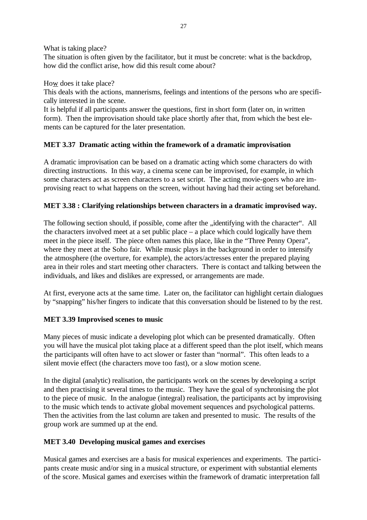What is taking place?

The situation is often given by the facilitator, but it must be concrete: what is the backdrop, how did the conflict arise, how did this result come about?

How does it take place?

This deals with the actions, mannerisms, feelings and intentions of the persons who are specifically interested in the scene.

It is helpful if all participants answer the questions, first in short form (later on, in written form). Then the improvisation should take place shortly after that, from which the best elements can be captured for the later presentation.

# **MET 3.37 Dramatic acting within the framework of a dramatic improvisation**

A dramatic improvisation can be based on a dramatic acting which some characters do with directing instructions. In this way, a cinema scene can be improvised, for example, in which some characters act as screen characters to a set script. The acting movie-goers who are improvising react to what happens on the screen, without having had their acting set beforehand.

# **MET 3.38 : Clarifying relationships between characters in a dramatic improvised way.**

The following section should, if possible, come after the , identifying with the character". All the characters involved meet at a set public place – a place which could logically have them meet in the piece itself. The piece often names this place, like in the "Three Penny Opera", where they meet at the Soho fair. While music plays in the background in order to intensify the atmosphere (the overture, for example), the actors/actresses enter the prepared playing area in their roles and start meeting other characters. There is contact and talking between the individuals, and likes and dislikes are expressed, or arrangements are made.

At first, everyone acts at the same time. Later on, the facilitator can highlight certain dialogues by "snapping" his/her fingers to indicate that this conversation should be listened to by the rest.

## **MET 3.39 Improvised scenes to music**

Many pieces of music indicate a developing plot which can be presented dramatically. Often you will have the musical plot taking place at a different speed than the plot itself, which means the participants will often have to act slower or faster than "normal". This often leads to a silent movie effect (the characters move too fast), or a slow motion scene.

In the digital (analytic) realisation, the participants work on the scenes by developing a script and then practising it several times to the music. They have the goal of synchronising the plot to the piece of music. In the analogue (integral) realisation, the participants act by improvising to the music which tends to activate global movement sequences and psychological patterns. Then the activities from the last column are taken and presented to music. The results of the group work are summed up at the end.

## **MET 3.40 Developing musical games and exercises**

Musical games and exercises are a basis for musical experiences and experiments. The participants create music and/or sing in a musical structure, or experiment with substantial elements of the score. Musical games and exercises within the framework of dramatic interpretation fall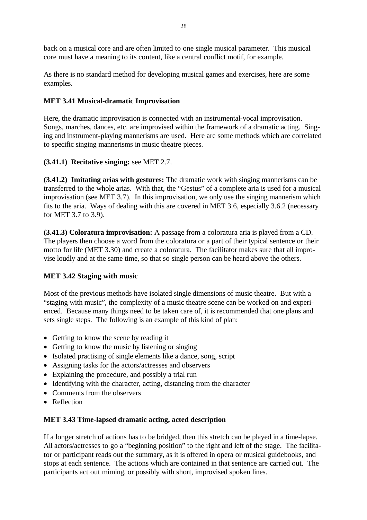back on a musical core and are often limited to one single musical parameter. This musical core must have a meaning to its content, like a central conflict motif, for example.

As there is no standard method for developing musical games and exercises, here are some examples.

# **MET 3.41 Musical-dramatic Improvisation**

Here, the dramatic improvisation is connected with an instrumental-vocal improvisation. Songs, marches, dances, etc. are improvised within the framework of a dramatic acting. Singing and instrument-playing mannerisms are used. Here are some methods which are correlated to specific singing mannerisms in music theatre pieces.

# **(3.41.1) Recitative singing:** see MET 2.7.

**(3.41.2) Imitating arias with gestures:** The dramatic work with singing mannerisms can be transferred to the whole arias. With that, the "Gestus" of a complete aria is used for a musical improvisation (see MET 3.7). In this improvisation, we only use the singing mannerism which fits to the aria. Ways of dealing with this are covered in MET 3.6, especially 3.6.2 (necessary for MET 3.7 to 3.9).

**(3.41.3) Coloratura improvisation:** A passage from a coloratura aria is played from a CD. The players then choose a word from the coloratura or a part of their typical sentence or their motto for life (MET 3.30) and create a coloratura. The facilitator makes sure that all improvise loudly and at the same time, so that so single person can be heard above the others.

# **MET 3.42 Staging with music**

Most of the previous methods have isolated single dimensions of music theatre. But with a "staging with music", the complexity of a music theatre scene can be worked on and experienced. Because many things need to be taken care of, it is recommended that one plans and sets single steps. The following is an example of this kind of plan:

- Getting to know the scene by reading it
- Getting to know the music by listening or singing
- Isolated practising of single elements like a dance, song, script
- Assigning tasks for the actors/actresses and observers
- Explaining the procedure, and possibly a trial run
- Identifying with the character, acting, distancing from the character
- Comments from the observers
- Reflection

## **MET 3.43 Time-lapsed dramatic acting, acted description**

If a longer stretch of actions has to be bridged, then this stretch can be played in a time-lapse. All actors/actresses to go a "beginning position" to the right and left of the stage. The facilitator or participant reads out the summary, as it is offered in opera or musical guidebooks, and stops at each sentence. The actions which are contained in that sentence are carried out. The participants act out miming, or possibly with short, improvised spoken lines.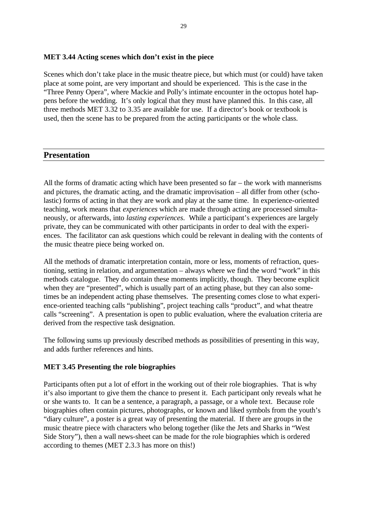#### **MET 3.44 Acting scenes which don't exist in the piece**

Scenes which don't take place in the music theatre piece, but which must (or could) have taken place at some point, are very important and should be experienced. This is the case in the "Three Penny Opera", where Mackie and Polly's intimate encounter in the octopus hotel happens before the wedding. It's only logical that they must have planned this. In this case, all three methods MET 3.32 to 3.35 are available for use. If a director's book or textbook is used, then the scene has to be prepared from the acting participants or the whole class.

#### **Presentation**

All the forms of dramatic acting which have been presented so far – the work with mannerisms and pictures, the dramatic acting, and the dramatic improvisation – all differ from other (scholastic) forms of acting in that they are work and play at the same time. In experience-oriented teaching, work means that *experiences* which are made through acting are processed simultaneously, or afterwards, into *lasting experiences*. While a participant's experiences are largely private, they can be communicated with other participants in order to deal with the experiences. The facilitator can ask questions which could be relevant in dealing with the contents of the music theatre piece being worked on.

All the methods of dramatic interpretation contain, more or less, moments of refraction, questioning, setting in relation, and argumentation – always where we find the word "work" in this methods catalogue. They do contain these moments implicitly, though. They become explicit when they are "presented", which is usually part of an acting phase, but they can also sometimes be an independent acting phase themselves. The presenting comes close to what experience-oriented teaching calls "publishing", project teaching calls "product", and what theatre calls "screening". A presentation is open to public evaluation, where the evaluation criteria are derived from the respective task designation.

The following sums up previously described methods as possibilities of presenting in this way, and adds further references and hints.

#### **MET 3.45 Presenting the role biographies**

Participants often put a lot of effort in the working out of their role biographies. That is why it's also important to give them the chance to present it. Each participant only reveals what he or she wants to. It can be a sentence, a paragraph, a passage, or a whole text. Because role biographies often contain pictures, photographs, or known and liked symbols from the youth's "diary culture", a poster is a great way of presenting the material. If there are groups in the music theatre piece with characters who belong together (like the Jets and Sharks in "West Side Story"), then a wall news-sheet can be made for the role biographies which is ordered according to themes (MET 2.3.3 has more on this!)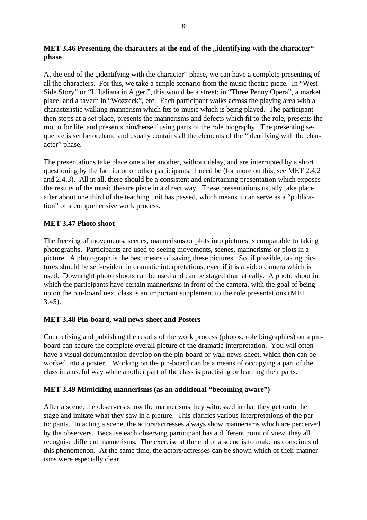## **MET 3.46 Presenting the characters at the end of the , identifying with the character" phase**

At the end of the , identifying with the character" phase, we can have a complete presenting of all the characters. For this, we take a simple scenario from the music theatre piece. In "West Side Story" or "L'Italiana in Algeri", this would be a street; in "Three Penny Opera", a market place, and a tavern in "Wozzeck", etc. Each participant walks across the playing area with a characteristic walking mannerism which fits to music which is being played. The participant then stops at a set place, presents the mannerisms and defects which fit to the role, presents the motto for life, and presents him/herself using parts of the role biography. The presenting sequence is set beforehand and usually contains all the elements of the "identifying with the character" phase.

The presentations take place one after another, without delay, and are interrupted by a short questioning by the facilitator or other participants, if need be (for more on this, see MET 2.4.2 and 2.4.3). All in all, there should be a consistent and entertaining presentation which exposes the results of the music theatre piece in a direct way. These presentations usually take place after about one third of the teaching unit has passed, which means it can serve as a "publication" of a comprehensive work process.

# **MET 3.47 Photo shoot**

The freezing of movements, scenes, mannerisms or plots into pictures is comparable to taking photographs. Participants are used to seeing movements, scenes, mannerisms or plots in a picture. A photograph is the best means of saving these pictures. So, if possible, taking pictures should be self-evident in dramatic interpretations, even if it is a video camera which is used. Downright photo shoots can be used and can be staged dramatically. A photo shoot in which the participants have certain mannerisms in front of the camera, with the goal of being up on the pin-board next class is an important supplement to the role presentations (MET 3.45).

## **MET 3.48 Pin-board, wall news-sheet and Posters**

Concretising and publishing the results of the work process (photos, role biographies) on a pinboard can secure the complete overall picture of the dramatic interpretation. You will often have a visual documentation develop on the pin-board or wall news-sheet, which then can be worked into a poster. Working on the pin-board can be a means of occupying a part of the class in a useful way while another part of the class is practising or learning their parts.

## **MET 3.49 Mimicking mannerisms (as an additional "becoming aware")**

After a scene, the observers show the mannerisms they witnessed in that they get onto the stage and imitate what they saw in a picture. This clarifies various interpretations of the participants. In acting a scene, the actors/actresses always show mannerisms which are perceived by the observers. Because each observing participant has a different point of view, they all recognise different mannerisms. The exercise at the end of a scene is to make us conscious of this phenomenon. At the same time, the actors/actresses can be shown which of their mannerisms were especially clear.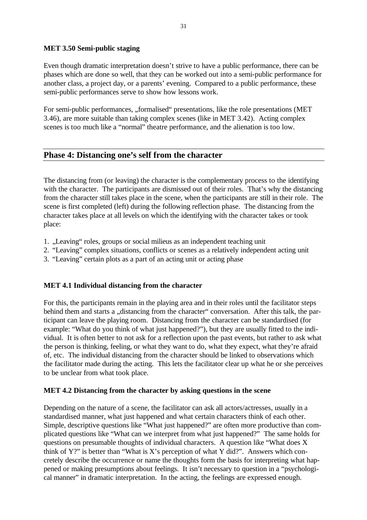#### **MET 3.50 Semi-public staging**

Even though dramatic interpretation doesn't strive to have a public performance, there can be phases which are done so well, that they can be worked out into a semi-public performance for another class, a project day, or a parents' evening. Compared to a public performance, these semi-public performances serve to show how lessons work.

For semi-public performances, "formalised" presentations, like the role presentations (MET 3.46), are more suitable than taking complex scenes (like in MET 3.42). Acting complex scenes is too much like a "normal" theatre performance, and the alienation is too low.

# **Phase 4: Distancing one's self from the character**

The distancing from (or leaving) the character is the complementary process to the identifying with the character. The participants are dismissed out of their roles. That's why the distancing from the character still takes place in the scene, when the participants are still in their role. The scene is first completed (left) during the following reflection phase. The distancing from the character takes place at all levels on which the identifying with the character takes or took place:

- 1. "Leaving" roles, groups or social milieus as an independent teaching unit
- 2. "Leaving" complex situations, conflicts or scenes as a relatively independent acting unit
- 3. "Leaving" certain plots as a part of an acting unit or acting phase

## **MET 4.1 Individual distancing from the character**

For this, the participants remain in the playing area and in their roles until the facilitator steps behind them and starts a "distancing from the character" conversation. After this talk, the participant can leave the playing room. Distancing from the character can be standardised (for example: "What do you think of what just happened?"), but they are usually fitted to the individual. It is often better to not ask for a reflection upon the past events, but rather to ask what the person is thinking, feeling, or what they want to do, what they expect, what they're afraid of, etc. The individual distancing from the character should be linked to observations which the facilitator made during the acting. This lets the facilitator clear up what he or she perceives to be unclear from what took place.

#### **MET 4.2 Distancing from the character by asking questions in the scene**

Depending on the nature of a scene, the facilitator can ask all actors/actresses, usually in a standardised manner, what just happened and what certain characters think of each other. Simple, descriptive questions like "What just happened?" are often more productive than complicated questions like "What can we interpret from what just happened?" The same holds for questions on presumable thoughts of individual characters. A question like "What does X think of  $Y$ ?" is better than "What is X's perception of what Y did?". Answers which concretely describe the occurrence or name the thoughts form the basis for interpreting what happened or making presumptions about feelings. It isn't necessary to question in a "psychological manner" in dramatic interpretation. In the acting, the feelings are expressed enough.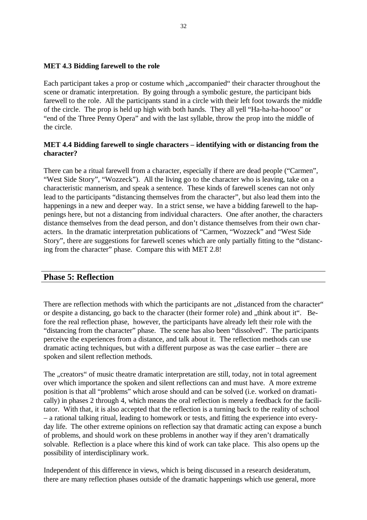#### **MET 4.3 Bidding farewell to the role**

Each participant takes a prop or costume which "accompanied" their character throughout the scene or dramatic interpretation. By going through a symbolic gesture, the participant bids farewell to the role. All the participants stand in a circle with their left foot towards the middle of the circle. The prop is held up high with both hands. They all yell "Ha-ha-ha-hoooo" or "end of the Three Penny Opera" and with the last syllable, throw the prop into the middle of the circle.

#### **MET 4.4 Bidding farewell to single characters – identifying with or distancing from the character?**

There can be a ritual farewell from a character, especially if there are dead people ("Carmen", "West Side Story", "Wozzeck"). All the living go to the character who is leaving, take on a characteristic mannerism, and speak a sentence. These kinds of farewell scenes can not only lead to the participants "distancing themselves from the character", but also lead them into the happenings in a new and deeper way. In a strict sense, we have a bidding farewell to the happenings here, but not a distancing from individual characters. One after another, the characters distance themselves from the dead person, and don't distance themselves from their own characters. In the dramatic interpretation publications of "Carmen, "Wozzeck" and "West Side Story", there are suggestions for farewell scenes which are only partially fitting to the "distancing from the character" phase. Compare this with MET 2.8!

#### **Phase 5: Reflection**

There are reflection methods with which the participants are not "distanced from the character" or despite a distancing, go back to the character (their former role) and "think about it". Before the real reflection phase, however, the participants have already left their role with the "distancing from the character" phase. The scene has also been "dissolved". The participants perceive the experiences from a distance, and talk about it. The reflection methods can use dramatic acting techniques, but with a different purpose as was the case earlier – there are spoken and silent reflection methods.

The "creators" of music theatre dramatic interpretation are still, today, not in total agreement over which importance the spoken and silent reflections can and must have. A more extreme position is that all "problems" which arose should and can be solved (i.e. worked on dramatically) in phases 2 through 4, which means the oral reflection is merely a feedback for the facilitator. With that, it is also accepted that the reflection is a turning back to the reality of school – a rational talking ritual, leading to homework or tests, and fitting the experience into everyday life. The other extreme opinions on reflection say that dramatic acting can expose a bunch of problems, and should work on these problems in another way if they aren't dramatically solvable. Reflection is a place where this kind of work can take place. This also opens up the possibility of interdisciplinary work.

Independent of this difference in views, which is being discussed in a research desideratum, there are many reflection phases outside of the dramatic happenings which use general, more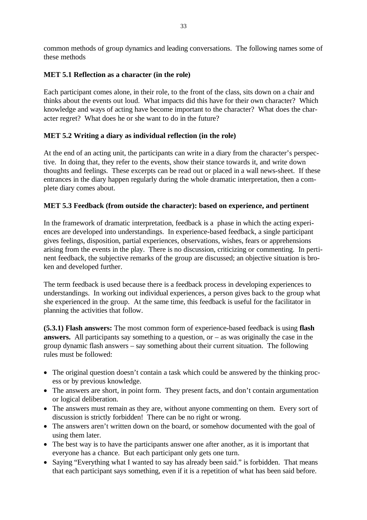common methods of group dynamics and leading conversations. The following names some of these methods

## **MET 5.1 Reflection as a character (in the role)**

Each participant comes alone, in their role, to the front of the class, sits down on a chair and thinks about the events out loud. What impacts did this have for their own character? Which knowledge and ways of acting have become important to the character? What does the character regret? What does he or she want to do in the future?

# **MET 5.2 Writing a diary as individual reflection (in the role)**

At the end of an acting unit, the participants can write in a diary from the character's perspective. In doing that, they refer to the events, show their stance towards it, and write down thoughts and feelings. These excerpts can be read out or placed in a wall news-sheet. If these entrances in the diary happen regularly during the whole dramatic interpretation, then a complete diary comes about.

# **MET 5.3 Feedback (from outside the character): based on experience, and pertinent**

In the framework of dramatic interpretation, feedback is a phase in which the acting experiences are developed into understandings. In experience-based feedback, a single participant gives feelings, disposition, partial experiences, observations, wishes, fears or apprehensions arising from the events in the play. There is no discussion, criticizing or commenting. In pertinent feedback, the subjective remarks of the group are discussed; an objective situation is broken and developed further.

The term feedback is used because there is a feedback process in developing experiences to understandings. In working out individual experiences, a person gives back to the group what she experienced in the group. At the same time, this feedback is useful for the facilitator in planning the activities that follow.

**(5.3.1) Flash answers:** The most common form of experience-based feedback is using **flash answers.** All participants say something to a question, or – as was originally the case in the group dynamic flash answers – say something about their current situation. The following rules must be followed:

- The original question doesn't contain a task which could be answered by the thinking process or by previous knowledge.
- The answers are short, in point form. They present facts, and don't contain argumentation or logical deliberation.
- The answers must remain as they are, without anyone commenting on them. Every sort of discussion is strictly forbidden! There can be no right or wrong.
- The answers aren't written down on the board, or somehow documented with the goal of using them later.
- The best way is to have the participants answer one after another, as it is important that everyone has a chance. But each participant only gets one turn.
- Saying "Everything what I wanted to say has already been said." is forbidden. That means that each participant says something, even if it is a repetition of what has been said before.